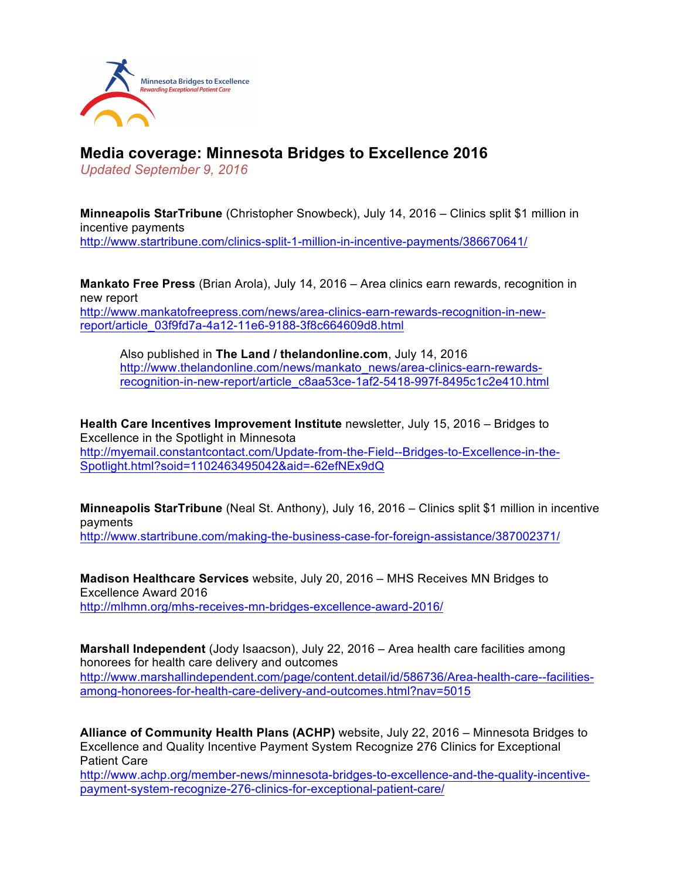

## **Media coverage: Minnesota Bridges to Excellence 2016**

*Updated September 9, 2016*

**Minneapolis StarTribune** (Christopher Snowbeck), July 14, 2016 – Clinics split \$1 million in incentive payments http://www.startribune.com/clinics-split-1-million-in-incentive-payments/386670641/

**Mankato Free Press** (Brian Arola), July 14, 2016 – Area clinics earn rewards, recognition in new report http://www.mankatofreepress.com/news/area-clinics-earn-rewards-recognition-in-newreport/article\_03f9fd7a-4a12-11e6-9188-3f8c664609d8.html

Also published in **The Land / thelandonline.com**, July 14, 2016 http://www.thelandonline.com/news/mankato\_news/area-clinics-earn-rewardsrecognition-in-new-report/article\_c8aa53ce-1af2-5418-997f-8495c1c2e410.html

**Health Care Incentives Improvement Institute** newsletter, July 15, 2016 – Bridges to Excellence in the Spotlight in Minnesota http://myemail.constantcontact.com/Update-from-the-Field--Bridges-to-Excellence-in-the-Spotlight.html?soid=1102463495042&aid=-62efNEx9dQ

**Minneapolis StarTribune** (Neal St. Anthony), July 16, 2016 – Clinics split \$1 million in incentive payments

http://www.startribune.com/making-the-business-case-for-foreign-assistance/387002371/

**Madison Healthcare Services** website, July 20, 2016 – MHS Receives MN Bridges to Excellence Award 2016 http://mlhmn.org/mhs-receives-mn-bridges-excellence-award-2016/

**Marshall Independent** (Jody Isaacson), July 22, 2016 – Area health care facilities among honorees for health care delivery and outcomes http://www.marshallindependent.com/page/content.detail/id/586736/Area-health-care--facilitiesamong-honorees-for-health-care-delivery-and-outcomes.html?nav=5015

**Alliance of Community Health Plans (ACHP)** website, July 22, 2016 – Minnesota Bridges to Excellence and Quality Incentive Payment System Recognize 276 Clinics for Exceptional Patient Care

http://www.achp.org/member-news/minnesota-bridges-to-excellence-and-the-quality-incentivepayment-system-recognize-276-clinics-for-exceptional-patient-care/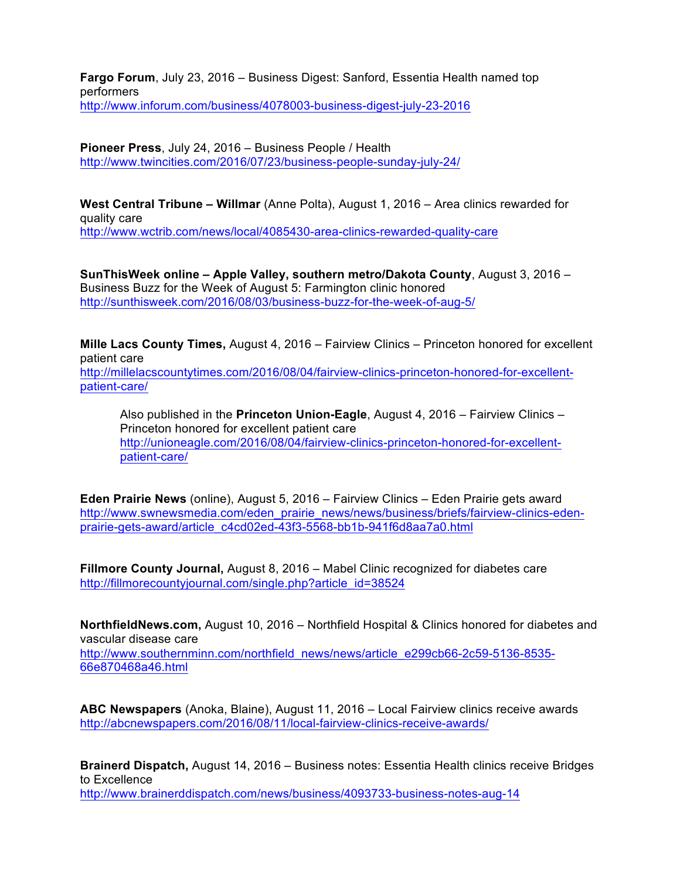**Fargo Forum**, July 23, 2016 – Business Digest: Sanford, Essentia Health named top performers http://www.inforum.com/business/4078003-business-digest-july-23-2016

**Pioneer Press**, July 24, 2016 – Business People / Health http://www.twincities.com/2016/07/23/business-people-sunday-july-24/

**West Central Tribune – Willmar** (Anne Polta), August 1, 2016 – Area clinics rewarded for quality care http://www.wctrib.com/news/local/4085430-area-clinics-rewarded-quality-care

**SunThisWeek online – Apple Valley, southern metro/Dakota County**, August 3, 2016 – Business Buzz for the Week of August 5: Farmington clinic honored http://sunthisweek.com/2016/08/03/business-buzz-for-the-week-of-aug-5/

**Mille Lacs County Times,** August 4, 2016 – Fairview Clinics – Princeton honored for excellent patient care http://millelacscountytimes.com/2016/08/04/fairview-clinics-princeton-honored-for-excellentpatient-care/

Also published in the **Princeton Union-Eagle**, August 4, 2016 – Fairview Clinics – Princeton honored for excellent patient care http://unioneagle.com/2016/08/04/fairview-clinics-princeton-honored-for-excellentpatient-care/

**Eden Prairie News** (online), August 5, 2016 – Fairview Clinics – Eden Prairie gets award http://www.swnewsmedia.com/eden\_prairie\_news/news/business/briefs/fairview-clinics-edenprairie-gets-award/article\_c4cd02ed-43f3-5568-bb1b-941f6d8aa7a0.html

**Fillmore County Journal,** August 8, 2016 – Mabel Clinic recognized for diabetes care http://fillmorecountyjournal.com/single.php?article\_id=38524

**NorthfieldNews.com,** August 10, 2016 – Northfield Hospital & Clinics honored for diabetes and vascular disease care http://www.southernminn.com/northfield\_news/news/article\_e299cb66-2c59-5136-8535- 66e870468a46.html

**ABC Newspapers** (Anoka, Blaine), August 11, 2016 – Local Fairview clinics receive awards http://abcnewspapers.com/2016/08/11/local-fairview-clinics-receive-awards/

**Brainerd Dispatch,** August 14, 2016 – Business notes: Essentia Health clinics receive Bridges to Excellence http://www.brainerddispatch.com/news/business/4093733-business-notes-aug-14